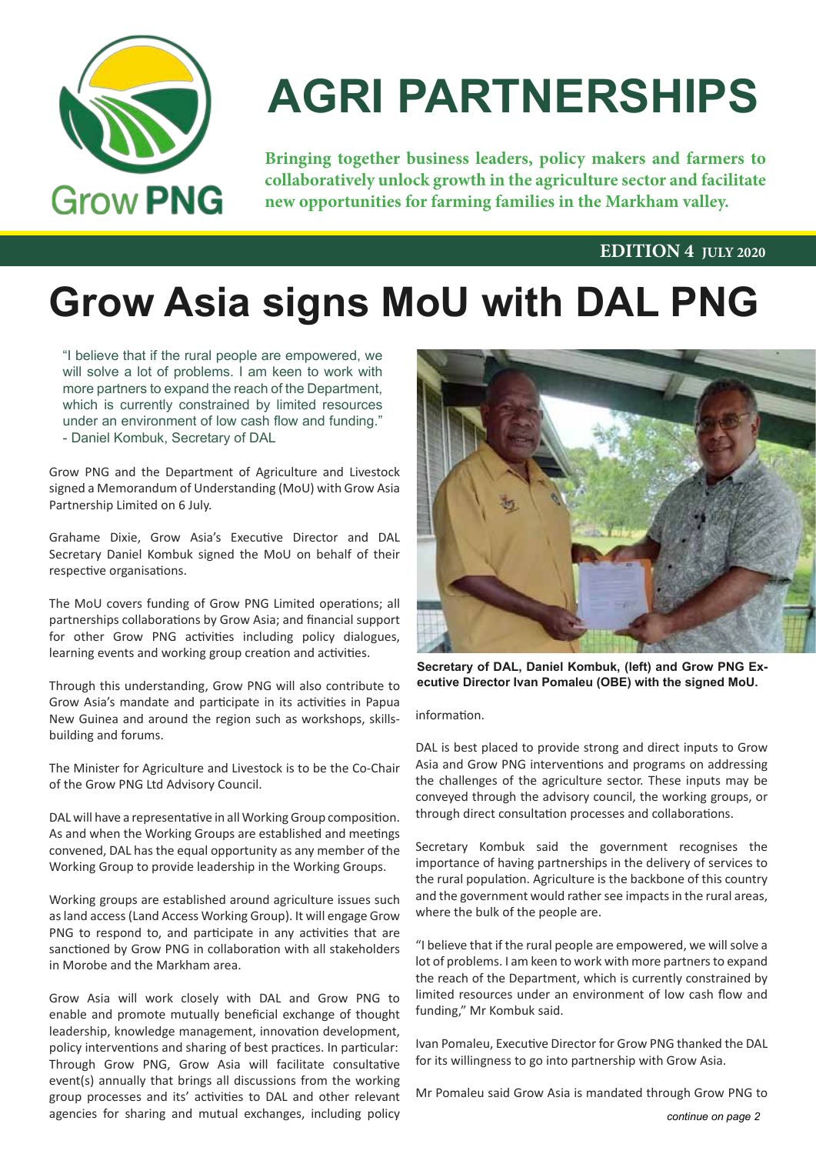

# **AGRI PARTNERSHIPS**

**Bringing together business leaders, policy makers and farmers to collaboratively unlock growth in the agriculture sector and facilitate new opportunities for farming families in the Markham valley.**

#### **EDITION 4 JULY 2020**

# **Grow Asia signs MoU with DAL PNG**

"I believe that if the rural people are empowered, we will solve a lot of problems. I am keen to work with more partners to expand the reach of the Department, which is currently constrained by limited resources under an environment of low cash flow and funding." - Daniel Kombuk, Secretary of DAL

Grow PNG and the Department of Agriculture and Livestock signed a Memorandum of Understanding (MoU) with Grow Asia Partnership Limited on 6 July.

Grahame Dixie, Grow Asia's Executive Director and DAL Secretary Daniel Kombuk signed the MoU on behalf of their respective organisations.

The MoU covers funding of Grow PNG Limited operations; all partnerships collaborations by Grow Asia; and financial support for other Grow PNG activities including policy dialogues, learning events and working group creation and activities.

Through this understanding, Grow PNG will also contribute to Grow Asia's mandate and participate in its activities in Papua New Guinea and around the region such as workshops, skillsbuilding and forums.

The Minister for Agriculture and Livestock is to be the Co-Chair of the Grow PNG Ltd Advisory Council.

DAL will have a representative in all Working Group composition. As and when the Working Groups are established and meetings convened, DAL has the equal opportunity as any member of the Working Group to provide leadership in the Working Groups.

Working groups are established around agriculture issues such as land access (Land Access Working Group). It will engage Grow PNG to respond to, and participate in any activities that are sanctioned by Grow PNG in collaboration with all stakeholders in Morobe and the Markham area.

Grow Asia will work closely with DAL and Grow PNG to enable and promote mutually beneficial exchange of thought leadership, knowledge management, innovation development, policy interventions and sharing of best practices. In particular: Through Grow PNG, Grow Asia will facilitate consultative event(s) annually that brings all discussions from the working group processes and its' activities to DAL and other relevant agencies for sharing and mutual exchanges, including policy



**Secretary of DAL, Daniel Kombuk, (left) and Grow PNG Executive Director Ivan Pomaleu (OBE) with the signed MoU.**

information.

DAL is best placed to provide strong and direct inputs to Grow Asia and Grow PNG interventions and programs on addressing the challenges of the agriculture sector. These inputs may be conveyed through the advisory council, the working groups, or through direct consultation processes and collaborations.

Secretary Kombuk said the government recognises the importance of having partnerships in the delivery of services to the rural population. Agriculture is the backbone of this country and the government would rather see impacts in the rural areas, where the bulk of the people are.

"I believe that if the rural people are empowered, we will solve a lot of problems. I am keen to work with more partners to expand the reach of the Department, which is currently constrained by limited resources under an environment of low cash flow and funding," Mr Kombuk said.

Ivan Pomaleu, Executive Director for Grow PNG thanked the DAL for its willingness to go into partnership with Grow Asia.

Mr Pomaleu said Grow Asia is mandated through Grow PNG to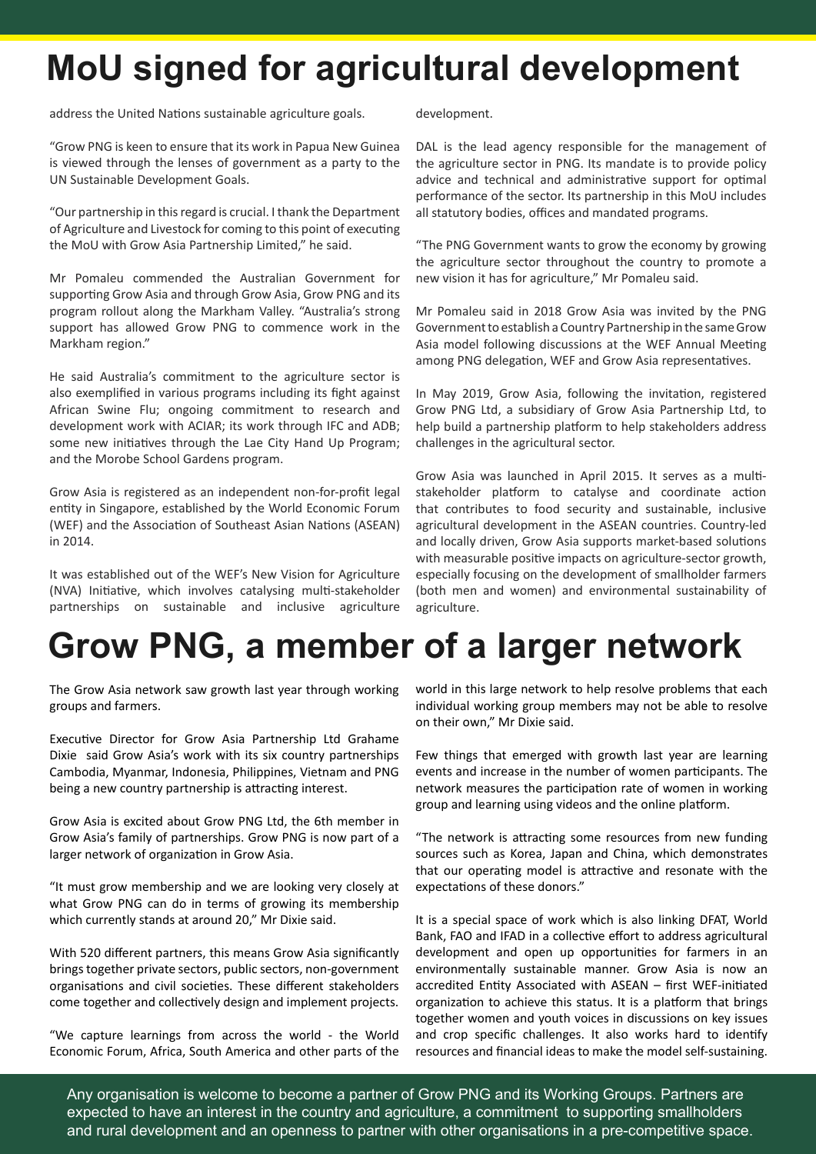# **MoU signed for agricultural development**

address the United Nations sustainable agriculture goals.

"Grow PNG is keen to ensure that its work in Papua New Guinea is viewed through the lenses of government as a party to the UN Sustainable Development Goals.

"Our partnership in this regard is crucial. I thank the Department of Agriculture and Livestock for coming to this point of executing the MoU with Grow Asia Partnership Limited," he said.

Mr Pomaleu commended the Australian Government for supporting Grow Asia and through Grow Asia, Grow PNG and its program rollout along the Markham Valley. "Australia's strong support has allowed Grow PNG to commence work in the Markham region."

He said Australia's commitment to the agriculture sector is also exemplified in various programs including its fight against African Swine Flu; ongoing commitment to research and development work with ACIAR; its work through IFC and ADB; some new initiatives through the Lae City Hand Up Program; and the Morobe School Gardens program.

Grow Asia is registered as an independent non-for-profit legal entity in Singapore, established by the World Economic Forum (WEF) and the Association of Southeast Asian Nations (ASEAN) in 2014.

It was established out of the WEF's New Vision for Agriculture (NVA) Initiative, which involves catalysing multi-stakeholder partnerships on sustainable and inclusive agriculture development.

DAL is the lead agency responsible for the management of the agriculture sector in PNG. Its mandate is to provide policy advice and technical and administrative support for optimal performance of the sector. Its partnership in this MoU includes all statutory bodies, offices and mandated programs.

"The PNG Government wants to grow the economy by growing the agriculture sector throughout the country to promote a new vision it has for agriculture," Mr Pomaleu said.

Mr Pomaleu said in 2018 Grow Asia was invited by the PNG Government to establish a Country Partnership in the same Grow Asia model following discussions at the WEF Annual Meeting among PNG delegation, WEF and Grow Asia representatives.

In May 2019, Grow Asia, following the invitation, registered Grow PNG Ltd, a subsidiary of Grow Asia Partnership Ltd, to help build a partnership platform to help stakeholders address challenges in the agricultural sector.

Grow Asia was launched in April 2015. It serves as a multistakeholder platform to catalyse and coordinate action that contributes to food security and sustainable, inclusive agricultural development in the ASEAN countries. Country-led and locally driven, Grow Asia supports market-based solutions with measurable positive impacts on agriculture-sector growth, especially focusing on the development of smallholder farmers (both men and women) and environmental sustainability of agriculture.

## **Grow PNG, a member of a larger network**

The Grow Asia network saw growth last year through working groups and farmers.

Executive Director for Grow Asia Partnership Ltd Grahame Dixie said Grow Asia's work with its six country partnerships Cambodia, Myanmar, Indonesia, Philippines, Vietnam and PNG being a new country partnership is attracting interest.

Grow Asia is excited about Grow PNG Ltd, the 6th member in Grow Asia's family of partnerships. Grow PNG is now part of a larger network of organization in Grow Asia.

"It must grow membership and we are looking very closely at what Grow PNG can do in terms of growing its membership which currently stands at around 20," Mr Dixie said.

With 520 different partners, this means Grow Asia significantly brings together private sectors, public sectors, non-government organisations and civil societies. These different stakeholders come together and collectively design and implement projects.

"We capture learnings from across the world - the World Economic Forum, Africa, South America and other parts of the

world in this large network to help resolve problems that each individual working group members may not be able to resolve on their own," Mr Dixie said.

Few things that emerged with growth last year are learning events and increase in the number of women participants. The network measures the participation rate of women in working group and learning using videos and the online platform.

"The network is attracting some resources from new funding sources such as Korea, Japan and China, which demonstrates that our operating model is attractive and resonate with the expectations of these donors."

It is a special space of work which is also linking DFAT, World Bank, FAO and IFAD in a collective effort to address agricultural development and open up opportunities for farmers in an environmentally sustainable manner. Grow Asia is now an accredited Entity Associated with ASEAN – first WEF-initiated organization to achieve this status. It is a platform that brings together women and youth voices in discussions on key issues and crop specific challenges. It also works hard to identify resources and financial ideas to make the model self-sustaining.

Any organisation is welcome to become a partner of Grow PNG and its Working Groups. Partners are expected to have an interest in the country and agriculture, a commitment to supporting smallholders and rural development and an openness to partner with other organisations in a pre-competitive space.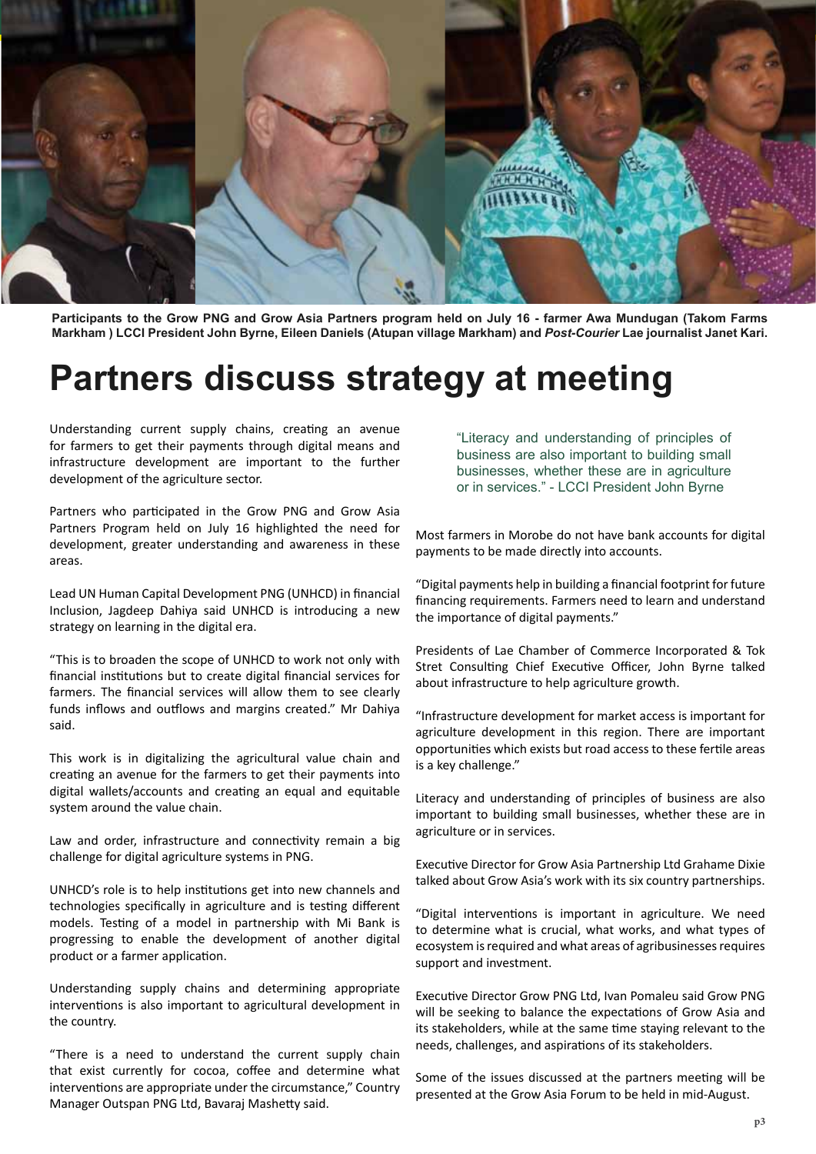

**Participants to the Grow PNG and Grow Asia Partners program held on July 16 - farmer Awa Mundugan (Takom Farms Markham ) LCCI President John Byrne, Eileen Daniels (Atupan village Markham) and** *Post-Courier* **Lae journalist Janet Kari.**

## **Partners discuss strategy at meeting**

Understanding current supply chains, creating an avenue for farmers to get their payments through digital means and infrastructure development are important to the further development of the agriculture sector.

Partners who participated in the Grow PNG and Grow Asia Partners Program held on July 16 highlighted the need for development, greater understanding and awareness in these areas.

Lead UN Human Capital Development PNG (UNHCD) in financial Inclusion, Jagdeep Dahiya said UNHCD is introducing a new strategy on learning in the digital era.

"This is to broaden the scope of UNHCD to work not only with financial institutions but to create digital financial services for farmers. The financial services will allow them to see clearly funds inflows and outflows and margins created." Mr Dahiya said.

This work is in digitalizing the agricultural value chain and creating an avenue for the farmers to get their payments into digital wallets/accounts and creating an equal and equitable system around the value chain.

Law and order, infrastructure and connectivity remain a big challenge for digital agriculture systems in PNG.

UNHCD's role is to help institutions get into new channels and technologies specifically in agriculture and is testing different models. Testing of a model in partnership with Mi Bank is progressing to enable the development of another digital product or a farmer application.

Understanding supply chains and determining appropriate interventions is also important to agricultural development in the country.

"There is a need to understand the current supply chain that exist currently for cocoa, coffee and determine what interventions are appropriate under the circumstance," Country Manager Outspan PNG Ltd, Bavaraj Mashetty said.

"Literacy and understanding of principles of business are also important to building small businesses, whether these are in agriculture or in services." - LCCI President John Byrne

Most farmers in Morobe do not have bank accounts for digital payments to be made directly into accounts.

"Digital payments help in building a financial footprint for future financing requirements. Farmers need to learn and understand the importance of digital payments."

Presidents of Lae Chamber of Commerce Incorporated & Tok Stret Consulting Chief Executive Officer, John Byrne talked about infrastructure to help agriculture growth.

"Infrastructure development for market access is important for agriculture development in this region. There are important opportunities which exists but road access to these fertile areas is a key challenge."

Literacy and understanding of principles of business are also important to building small businesses, whether these are in agriculture or in services.

Executive Director for Grow Asia Partnership Ltd Grahame Dixie talked about Grow Asia's work with its six country partnerships.

"Digital interventions is important in agriculture. We need to determine what is crucial, what works, and what types of ecosystem is required and what areas of agribusinesses requires support and investment.

Executive Director Grow PNG Ltd, Ivan Pomaleu said Grow PNG will be seeking to balance the expectations of Grow Asia and its stakeholders, while at the same time staying relevant to the needs, challenges, and aspirations of its stakeholders.

Some of the issues discussed at the partners meeting will be presented at the Grow Asia Forum to be held in mid-August.